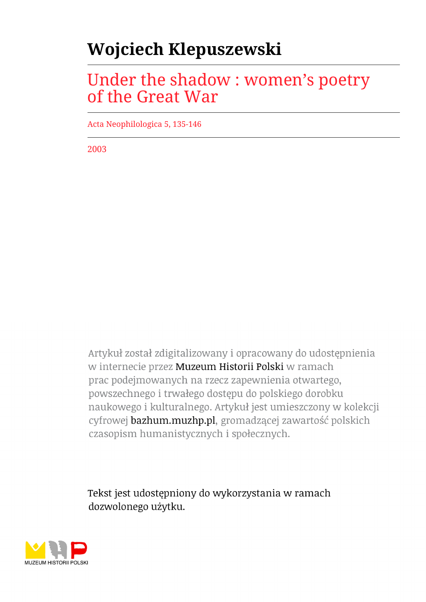## **Wojciech Klepuszewski**

## Under the shadow : women's poetry of the Great War

Acta Neophilologica 5, 135-146

2003

Artykuł został zdigitalizowany i opracowany do udostępnienia w internecie przez Muzeum Historii Polski w ramach prac podejmowanych na rzecz zapewnienia otwartego, powszechnego i trwałego dostępu do polskiego dorobku naukowego i kulturalnego. Artykuł jest umieszczony w kolekcji cyfrowej bazhum.muzhp.pl, gromadzącej zawartość polskich czasopism humanistycznych i społecznych.

Tekst jest udostępniony do wykorzystania w ramach dozwolonego użytku.

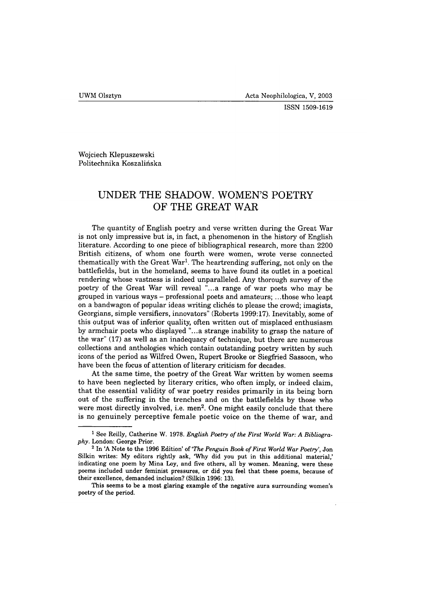Wojciech Kiepuszewski Politechnika Koszalińska

## **UNDER THE SHADOW. WOMEN'S POETRY OF THE GREAT WAR**

The quantity of English poetry and verse written during the Great War is not only impressive but is, in fact, a phenomenon in the history of English literature. According to one piece of bibliographical research, more than 2200 British citizens, of whom one fourth were women, wrote verse connected thematically with the Great War<sup>1</sup>. The heartrending suffering, not only on the battlefields, but in the homeland, seems to have found its outlet in a poetical rendering whose vastness is indeed unparalleled. Any thorough survey of the poetry of the Great War will reveal "...a range of war poets who may be grouped in various ways - professional poets and amateurs; ...those who leapt on a bandwagon of popular ideas writing clichés to please the crowd; imagists, Georgians, simple versifiers, innovators" (Roberts 1999:17). Inevitably, some of this output was of inferior quality, often written out of misplaced enthusiasm by armchair poets who displayed "...a strange inability to grasp the nature of the war" (17) as well as an inadequacy of technique, but there are numerous collections and anthologies which contain outstanding poetry written by such icons of the period as Wilfred Owen, Rupert Brooke or Siegfried Sassoon, who have been the focus of attention of literary criticism for decades.

At the same time, the poetry of the Great War written by women seems to have been neglected by literary critics, who often imply, or indeed claim, that the essential validity of war poetry resides primarily in its being born out of the suffering in the trenches and on the battlefields by those who were most directly involved, i.e. men<sup>2</sup>. One might easily conclude that there is no genuinely perceptive female poetic voice on the theme of war, and

<sup>&</sup>lt;sup>1</sup> See Reilly, Catherine W. 1978. *English Poetry of the First World War: A Bibliograp h y .* **London: George Prior.**

<sup>&</sup>lt;sup>2</sup> In 'A Note to the 1996 Edition' of *'The Penguin Book of First World War Poetry'*, Jon **Silkin writes: My editors rightly ask, 'Why did you put in this additional material,' indicating one poem by Mina Loy, and five others, all by women. Meaning, were these poems included under feminist pressures, or did you feel that these poems, because of their excellence, demanded inclusion? (Silkin 1996: 13).**

**This seems to be a most glaring example of the negative aura surrounding women's poetry of the period.**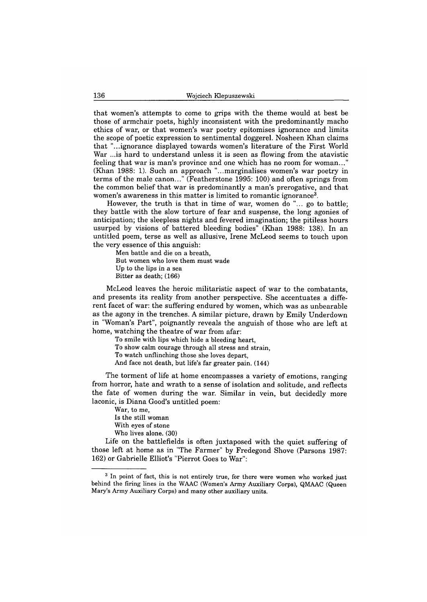that women's attempts to come to grips with the theme would at best be those of armchair poets, highly inconsistent with the predominantly macho ethics of war, or that women's war poetry epitomises ignorance and limits the scope of poetic expression to sentimental doggerel. Nosheen Khan claims that "...ignorance displayed towards women's literature of the First World War ...is hard to understand unless it is seen as flowing from the atavistic feeling that war is man's province and one which has no room for woman..." (Khan 1988: 1). Such an approach "...marginalises women's war poetry in terms of the male canon..." (Featherstone 1995: 100) and often springs from the common belief that war is predominantly a man's prerogative, and that women's awareness in this matter is limited to romantic ignorance<sup>3</sup>.

However, the truth is that in time of war, women do "... go to battle; they battle with the slow torture of fear and suspense, the long agonies of anticipation; the sleepless nights and fevered imagination; the pitiless hours usurped by visions of battered bleeding bodies" (Khan 1988: 138). In an untitled poem, terse as well as allusive, Irene McLeod seems to touch upon the very essence of this anguish:

**Men battle and die on a breath, But women who love them must wade Up to the lips in a sea Bitter as death; (166)**

McLeod leaves the heroic militaristic aspect of war to the combatants, and presents its reality from another perspective. She accentuates a different facet of war: the suffering endured by women, which was as unbearable as the agony in the trenches. A similar picture, drawn by Emily Underdown in "Woman's Part", poignantly reveals the anguish of those who are left at home, watching the theatre of war from afar:

**To smile with lips which hide a bleeding heart, To show calm courage through all stress and strain, To watch unflinching those she loves depart, And face not death, but life's far greater pain. (144)**

The torment of life at home encompasses a variety of emotions, ranging from horror, hate and wrath to a sense of isolation and solitude, and reflects the fate of women during the war. Similar in vein, but decidedly more laconic, is Diana Good's untitled poem:

**War, to me, Is the still woman With eyes of stone Who lives alone. (30)**

Life on the battlefields is often juxtaposed with the quiet suffering of those left at home as in "The Farmer" by Fredegond Shove (Parsons 1987: 162) or Gabrielle Elliot's "Pierrot Goes to War":

**<sup>3</sup> In point of fact, this is not entirely true, for there were women who worked just behind the firing lines in the WAAC (Women's Army Auxiliary Corps), QMAAC (Queen Mary's Army Auxiliary Corps) and many other auxiliary units.**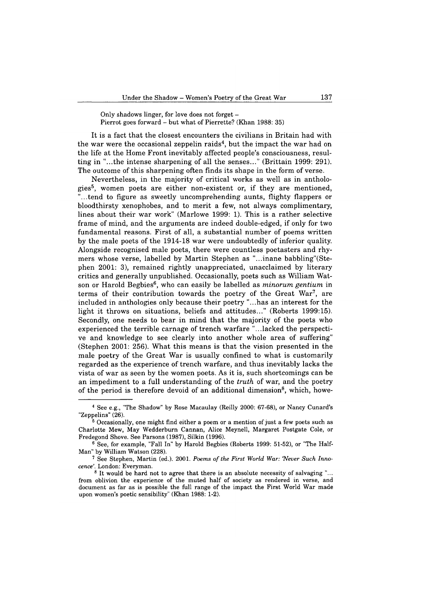**Only shadows linger, for love does not forget -** Pierrot goes forward – but what of Pierrette? (Khan 1988: 35)

It is a fact that the closest encounters the civilians in Britain had with the war were the occasional zeppelin raids<sup>4</sup>, but the impact the war had on the life at the Home Front inevitably affected people's consciousness, resulting in "...the intense sharpening of all the senses..." (Brittain 1999: 291). The outcome of this sharpening often finds its shape in the form of verse.

Nevertheless, in the majority of critical works as well as in anthologies<sup>5</sup>, women poets are either non-existent or, if they are mentioned, ...tend to figure as sweetly uncomprehending aunts, flighty flappers or bloodthirsty xenophobes, and to merit a few, not always complimentary, lines about their war work" (Marlowe 1999: 1). This is a rather selective frame of mind, and the arguments are indeed double-edged, if only for two fundamental reasons. First of all, a substantial number of poems written by the male poets of the 1914-18 war were undoubtedly of inferior quality. Alongside recognised male poets, there were countless poetasters and rhymers whose verse, labelled by Martin Stephen as "...inane babbling"(Stephen 2001: 3), remained rightly unappreciated, unacclaimed by literary critics and generally unpublished. Occasionally, poets such as William Watson or Harold Begbies6, who can easily be labelled as *minorum gentium* in terms of their contribution towards the poetry of the Great War7, are included in anthologies only because their poetry "...has an interest for the light it throws on situations, beliefs and attitudes..." (Roberts 1999:15). Secondly, one needs to bear in mind that the majority of the poets who experienced the terrible carnage of trench warfare "...lacked the perspective and knowledge to see clearly into another whole area of suffering" (Stephen 2001: 256). What this means is that the vision presented in the male poetry of the Great War is usually confined to what is customarily regarded as the experience of trench warfare, and thus inevitably lacks the vista of war as seen by the women poets. As it is, such shortcomings can be an impediment to a full understanding of the *truth* of war, and the poetry of the period is therefore devoid of an additional dimension<sup>8</sup>, which, howe-

**<sup>4</sup> See e.g., "The Shadow" by Rose Macaulay (Reilly 2000: 67-68), or Nancy Cunard's "Zeppelins" (26).**

**<sup>6</sup> Occasionally, one might find either a poem or a mention of just a few poets such as Charlotte Mew, May Wedderburn Cannan, Alice Meynell, Margaret Postgate Cole, or Fredegond Shove. See Parsons (1987), Silkin (1996).**

**<sup>6</sup> See, for example, "Fall In" by Harold Begbies (Roberts 1999: 51-52), or "The Half-Man" by William Watson (228).**

<sup>&</sup>lt;sup>7</sup> See Stephen, Martin (ed.). 2001. *Poems of the First World War: 'Never Such Innocen ce'.* **London: Everyman.**

**<sup>8</sup> It would be hard not to agree that there is an absolute necessity of salvaging "... from oblivion the experience of the muted half of society as rendered in verse, and document as far as is possible the full range of the impact the First World War made upon women's poetic sensibility" (Khan 1988: 1-2).**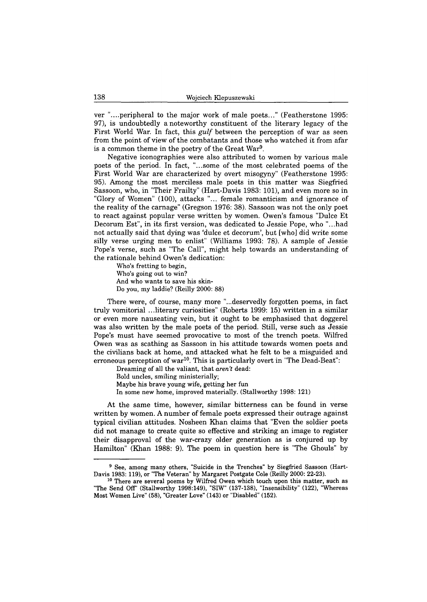ver "....peripheral to the major work of male poets..." (Featherstone 1995: 97), is undoubtedly a noteworthy constituent of the literary legacy of the First World War. In fact, this *gulf* between the perception of war as seen from the point of view of the combatants and those who watched it from afar is a common theme in the poetry of the Great War9.

Negative iconographies were also attributed to women by various male poets of the period. In fact, "...some of the most celebrated poems of the First World War are characterized by overt misogyny" (Featherstone 1995: 95). Among the most merciless male poets in this matter was Siegfried Sassoon, who, in "Their Frailty" (Hart-Davis 1983: 101), and even more so in "Glory of Women" (100), attacks "... female romanticism and ignorance of the reality of the carnage" (Gregson 1976: 38). Sassoon was not the only poet to react against popular verse written by women. Owen's famous "Duke Et Decorum Est", in its first version, was dedicated to Jessie Pope, who "...had not actually said that dying was 'dulce et decorum', but [who] did write some silly verse urging men to enlist" (Williams 1993: 78). A sample of Jessie Pope's verse, such as "The Call", might help towards an understanding of the rationale behind Owen's dedication:

**Who's fretting to begin, Who's going out to win? And who wants to save his skin-Do you, my laddie? (Reilly 2000: 88)**

There were, of course, many more "...deservedly forgotten poems, in fact truly vomitorial ...literary curiosities" (Roberts 1999: 15) written in a similar or even more nauseating vein, but it ought to be emphasised that doggerel was also written by the male poets of the period. Still, verse such as Jessie Pope's must have seemed provocative to most of the trench poets. Wilfred Owen was as scathing as Sassoon in his attitude towards women poets and the civilians back at home, and attacked what he felt to be a misguided and erroneous perception of war<sup>10</sup>. This is particularly overt in "The Dead-Beat":

**Dreaming of all the valiant, that** *aren't* **dead:**

**Bold uncles, smiling ministerially;**

**Maybe his brave young wife, getting her fun**

**In some new home, improved materially. (Stallworthy 1998: 121)**

At the same time, however, similar bitterness can be found in verse written by women. A number of female poets expressed their outrage against typical civilian attitudes. Nosheen Khan claims that "Even the soldier poets did not manage to create quite so effective and striking an image to register their disapproval of the war-crazy older generation as is conjured up by Hamilton" (Khan 1988: 9). The poem in question here is "The Ghouls" by

**<sup>9</sup> See, among many others, "Suicide in the Trenches" by Siegfried Sassoon (Hart-Davis 1983: 119), or "The Veteran" by Margaret Postgate Cole (Reilly 2000: 22-23).**

**<sup>10</sup> There are several poems by Wilfred Owen which touch upon this matter, such as "The Send Off (Stallworthy 1998:149), "SIW" (137-138), "Insensibility" (122), "Whereas Most Women Live" (58), "Greater Love" (143) or "Disabled" (152).**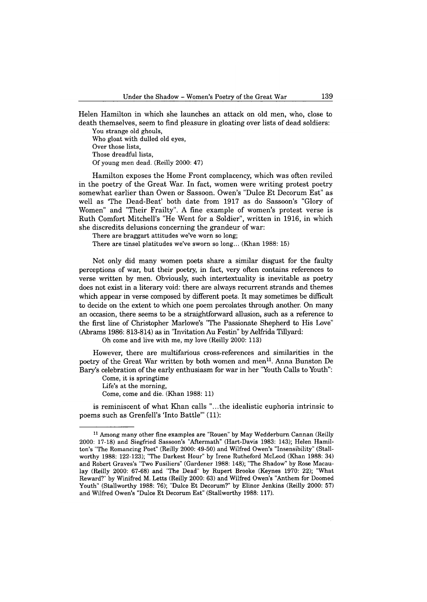Helen Hamilton in which she launches an attack on old men, who, close to death themselves, seem to find pleasure in gloating over lists of dead soldiers:

**You strange old ghouls, Who gloat with dulled old eyes, Over those lists, Those dreadful lists, Of young men dead. (Reilly 2000: 47)**

Hamilton exposes the Home Front complacency, which was often reviled in the poetry of the Great War. In fact, women were writing protest poetry somewhat earlier than Owen or Sassoon. Owen's "Dulce Et Decorum Est" as well as 'The Dead-Beat' both date from 1917 as do Sassoon's "Glory of Women" and "Their Frailty". A fine example of women's protest verse is Ruth Comfort Mitchell's "He Went for a Soldier", written in 1916, in which she discredits delusions concerning the grandeur of war:

**There are braggart attitudes we've worn so long;**

**There are tinsel platitudes we've sworn so long... (Khan 1988: 15)**

Not only did many women poets share a similar disgust for the faulty perceptions of war, but their poetry, in fact, very often contains references to verse written by men. Obviously, such intertextuality is inevitable as poetry does not exist in a literary void: there are always recurrent strands and themes which appear in verse composed by different poets. It may sometimes be difficult to decide on the extent to which one poem percolates through another. On many an occasion, there seems to be a straightforward allusion, such as a reference to the first line of Christopher Marlowe's "The Passionate Shepherd to His Love" (Abrams 1986: 813-814) as in "Invitation Au Festin" by Aelfrida Tillyard:

**Oh come and live with me, my love (Reilly 2000: 113)**

However, there are multifarious cross-references and similarities in the poetry of the Great War written by both women and men<sup>11</sup>. Anna Bunston De Barys celebration of the early enthusiasm for war in her "Youth Calls to Youth":

Come, it is springtime Life's at the morning, **Come, come and die. (Khan 1988: 11)**

is reminiscent of what Khan calls "...the idealistic euphoria intrinsic to poems such as Grenfell's 'Into Battle'" (11):

**<sup>11</sup> Among many other fine examples are "Rouen" by May Wedderburn Cannan (Reilly 2000: 17-18) and Siegfried Sassoon's "Aftermath" (Hart-Davis 1983: 143); Helen Hamilton's "The Romancing Poet" (Reilly 2000: 49-50) and Wilfred Owen's "Insensibility" (Stallworthy 1988: 122-123); "The Darkest Hour" by Irene Rutheford McLeod (Khan 1988: 34) and Robert Graves's "Two Fusiliers" (Gardener 1988: 148); "The Shadow" by Rose Macaulay (Reilly 2000: 67-68) and "The Dead" by Rupert Brooke (Keynes 1970: 22); "What Reward?" by Winifred M. Letts (Reilly 2000: 63) and Wilfred Owen's "Anthem for Doomed Youth" (Stallworthy 1988: 76); "Dulce Et Decorum?" by Elinor Jenkins (Reilly 2000: 57) and Wilfred Owen's "Dulce Et Decorum Est" (Stallworthy 1988: 117).**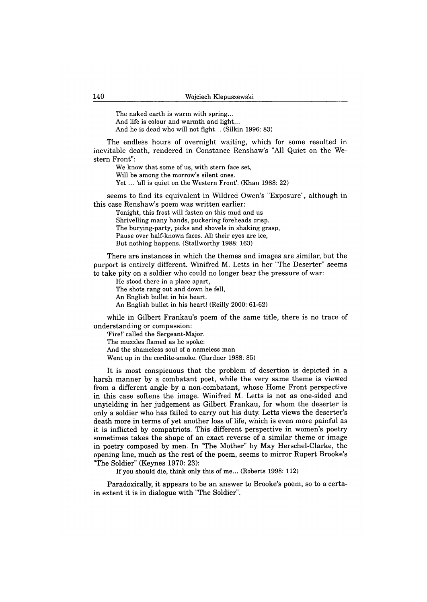**The naked earth is warm with spring... And life is colour and warmth and light... And he is dead who will not fight... (Silkin 1996: 83)**

The endless hours of overnight waiting, which for some resulted in inevitable death, rendered in Constance Renshaw's "All Quiet on the Western Front":

**We know that some of us, with stern face set, Will be among the morrow's silent ones. Yet ... 'all is quiet on the Western Front'. (Khan 1988: 22)**

seems to find its equivalent in Wildred Owen's "Exposure", although in this case Renshaw's poem was written earlier:

**Tonight, this frost will fasten on this mud and us Shrivelling many hands, puckering foreheads crisp. The burying-party, picks and shovels in shaking grasp, Pause over half-known faces. All their eyes are ice, But nothing happens. (Stallworthy 1988: 163)**

There are instances in which the themes and images are similar, but the purport is entirely different. Winifred M. Letts in her "The Deserter" seems to take pity on a soldier who could no longer bear the pressure of war:

**He stood there in a place apart, The shots rang out and down he fell, An English bullet in his heart. An English bullet in his heart! (Reilly 2000: 61-62)**

while in Gilbert Frankau's poem of the same title, there is no trace of understanding or compassion:

**'Fire!' called the Sergeant-Major. The muzzles flamed as he spoke: And the shameless soul of a nameless man Went up in the cordite-smoke. (Gardner 1988: 85)**

It is most conspicuous that the problem of desertion is depicted in a harsh manner by a combatant poet, while the very same theme is viewed from a different angle by a non-combatant, whose Home Front perspective in this case softens the image. Winifred M. Letts is not as one-sided and unyielding in her judgement as Gilbert Frankau, for whom the deserter is only a soldier who has failed to carry out his duty. Letts views the deserter's death more in terms of yet another loss of life, which is even more painful as it is inflicted by compatriots. This different perspective in women's poetry sometimes takes the shape of an exact reverse of a similar theme or image in poetry composed by men. In "The Mother" by May Herschel-Clarke, the opening line, much as the rest of the poem, seems to mirror Rupert Brooke's "The Soldier" (Keynes 1970: 23):

**If you should die, think only this of me... (Roberts 1998: 112)**

Paradoxically, it appears to be an answer to Brooke's poem, so to a certain extent it is in dialogue with "The Soldier".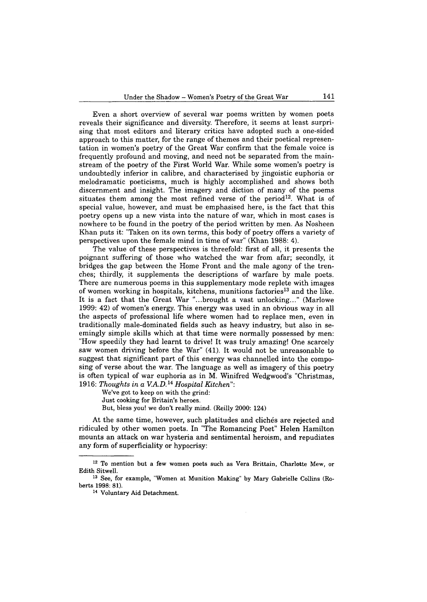Even a short overview of several war poems written by women poets reveals their significance and diversity. Therefore, it seems at least surprising that most editors and literary critics have adopted such a one-sided approach to this matter, for the range of themes and their poetical representation in women's poetry of the Great War confirm that the female voice is frequently profound and moving, and need not be separated from the mainstream of the poetry of the First World War. While some women's poetry is undoubtedly inferior in calibre, and characterised by jingoistic euphoria or melodramatic poeticisms, much is highly accomplished and shows both discernment and insight. The imagery and diction of many of the poems situates them among the most refined verse of the period<sup>12</sup>. What is of special value, however, and must be emphasised here, is the fact that this poetry opens up a new vista into the nature of war, which in most cases is nowhere to be found in the poetry of the period written by men. As Nosheen Khan puts it: "Taken on its own terms, this body of poetry offers a variety of perspectives upon the female mind in time of war" (Khan 1988: 4).

The value of these perspectives is threefold: first of all, it presents the poignant suffering of those who watched the war from afar; secondly, it bridges the gap between the Home Front and the male agony of the trenches; thirdly, it supplements the descriptions of warfare by male poets. There are numerous poems in this supplementary mode replete with images of women working in hospitals, kitchens, munitions factories<sup>13</sup> and the like. It is a fact that the Great War "...brought a vast unlocking..." (Marlowe 1999: 42) of women's energy. This energy was used in an obvious way in all the aspects of professional life where women had to replace men, even in traditionally male-dominated fields such as heavy industry, but also in seemingly simple skills which at that time were normally possessed by men: "How speedily they had learnt to drive! It was truly amazing! One scarcely saw women driving before the War" (41). It would not be unreasonable to suggest that significant part of this energy was channelled into the composing of verse about the war. The language as well as imagery of this poetry is often typical of war euphoria as in M. Winifred Wedgwood's "Christmas, 1916: Thoughts in a V.A.D.<sup>14</sup> Hospital Kitchen":

**We've got to keep on with the grind: Just cooking for Britain's heroes. But, bless you! we don't really mind. (Reilly 2000: 124)**

At the same time, however, such platitudes and clichés are rejected and ridiculed by other women poets. In "The Romancing Poet" Helen Hamilton mounts an attack on war hysteria and sentimental heroism, and repudiates any form of superficiality or hypocrisy:

**<sup>12</sup> To mention but a few women poets such as Vera Brittain, Charlotte Mew, or Edith Sitwell.**

**<sup>13</sup> See, for example, "Women at Munition Making" by Mary Gabrielle Collins (Roberts 1998: 81).**

**<sup>14</sup> Voluntary Aid Detachment.**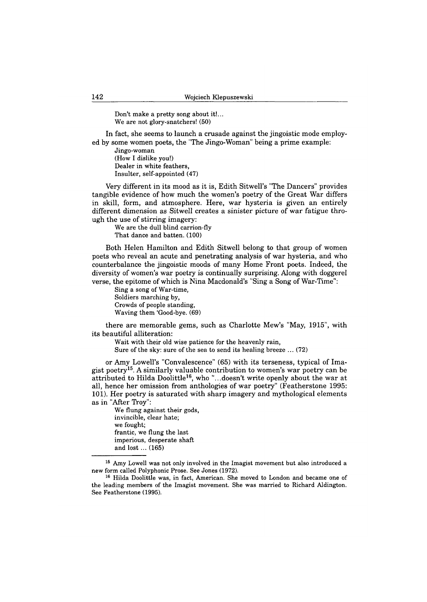**Don't make a pretty song about it!... We are not glory-snatchers! (50)**

In fact, she seems to launch a crusade against the jingoistic mode employed by some women poets, the "The Jingo-Woman" being a prime example:

**Jingo-woman (How I dislike you!) Dealer in white feathers, Insulter, self-appointed (47)**

Very different in its mood as it is, Edith Sitwell's "The Dancers" provides tangible evidence of how much the women's poetry of the Great War differs in skill, form, and atmosphere. Here, war hysteria is given an entirely different dimension as Sitwell creates a sinister picture of war fatigue through the use of stirring imagery:

**We are the dull blind carrion-fly That dance and batten. (100)**

Both Helen Hamilton and Edith Sitwell belong to that group of women poets who reveal an acute and penetrating analysis of war hysteria, and who counterbalance the jingoistic moods of many Home Front poets. Indeed, the diversity of women's war poetry is continually surprising. Along with doggerel verse, the epitome of which is Nina Macdonald's "Sing a Song of War-Time":

**Sing a song of War-time, Soldiers marching by, Crowds of people standing, Waving them 'Good-bye. (69)**

there are memorable gems, such as Charlotte Mew's "May, 1915", with its beautiful alliteration:

**Wait with their old wise patience for the heavenly rain, Sure of the sky: sure of the sea to send its healing breeze ... (72)**

or Amy Lowell's "Convalescence" (65) with its terseness, typical of Imagist poetry<sup>15</sup>. A similarly valuable contribution to women's war poetry can be attributed to Hilda Doolittle16, who "...doesn't write openly about the war at all, hence her omission from anthologies of war poetry" (Featherstone 1995: 101). Her poetry is saturated with sharp imagery and mythological elements as in "After Troy":

**We flung against their gods, invincible, clear hate; we fought; frantic, we flung the last imperious, desperate shaft** and lost ... (165)

**<sup>15</sup> Amy Lowell was not only involved in the Imagist movement but also introduced a new form called Polyphonic Prose. See Jones (1972).**

**<sup>16</sup> Hilda Doolittle was, in fact, American. She moved to London and became one of the leading members of the Imagist movement. She was married to Richard Aldington. See Featherstone (1995).**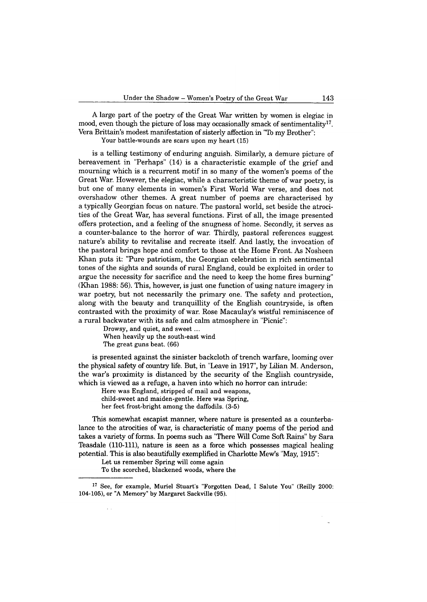A large part of the poetry of the Great War written by women is elegiac in mood, even though the picture of loss may occasionally smack of sentimentality<sup>17</sup>. Vera Brittain's modest manifestation of sisterly affection in "To my Brother":

**Your battle-wounds are scars upon my heart (15)**

is a telling testimony of enduring anguish. Similarly, a demure picture of bereavement in "Perhaps" (14) is a characteristic example of the grief and mourning which is a recurrent motif in so many of the women's poems of the Great War. However, the elegiac, while a characteristic theme of war poetry, is but one of many elements in women's First World War verse, and does not overshadow other themes. A great number of poems are characterised by a typically Georgian focus on nature. The pastoral world, set beside the atrocities of the Great War, has several functions. First of all, the image presented offers protection, and a feeling of the snugness of home. Secondly, it serves as a counter-balance to the horror of war. Thirdly, pastoral references suggest nature's ability to revitalise and recreate itself. And lastly, the invocation of the pastoral brings hope and comfort to those at the Home Front. As Nosheen Khan puts it: "Pure patriotism, the Georgian celebration in rich sentimental tones of the sights and sounds of rural England, could be exploited in order to argue the necessity for sacrifice and the need to keep the home fires burning" (Khan 1988: 56). This, however, is just one function of using nature imagery in war poetry, but not necessarily the primary one. The safety and protection, along with the beauty and tranquillity of the English countryside, is often contrasted with the proximity of war. Rose Macaulay's wistful reminiscence of a rural backwater with its safe and calm atmosphere in "Picnic":

Drowsy, and quiet, and sweet... **When heavily up the south-east wind The great guns beat. (66)**

is presented against the sinister backcloth of trench warfare, looming over the physical safety of country life. But, in "Leave in 1917", by Lilian M. Anderson, the war's proximity is distanced by the security of the English countryside, which is viewed as a refuge, a haven into which no horror can intrude:

**Here was England, stripped of mail and weapons, child-sweet and maiden-gentle. Here was Spring, her feet frost-bright among the daffodils. (3-5)**

This somewhat escapist manner, where nature is presented as a counterbalance to the atrocities of war, is characteristic of many poems of the period and takes a variety of forms. In poems such as "There Will Come Soft Rains" by Sara Teasdale  $(110-111)$ , nature is seen as a force which possesses magical healing potential. This is also beautifully exemplified in Charlotte Mew's "May, 1915":

**Let us remember Spring will come again**

**To the scorched, blackened woods, where the**

**<sup>17</sup> See, for example, Muriel Stuart's "Forgotten Dead, I Salute You" (Reilly 2000: 104-105), or "A Memory" by Margaret Sackville (95).**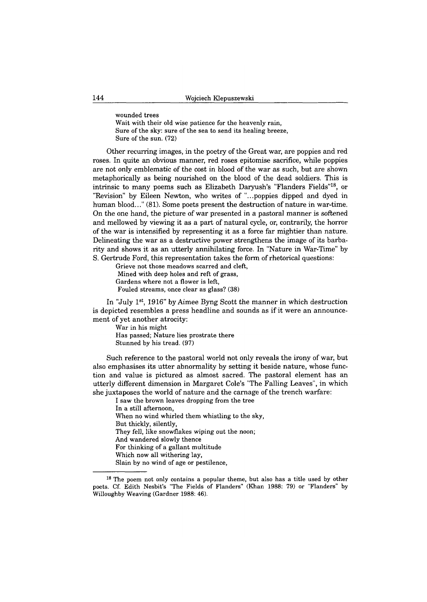**wounded trees Wait with their old wise patience for the heavenly rain, Sure of the sky: sure of the sea to send its healing breeze, Sure of the sun. (72)**

Other recurring images, in the poetry of the Great war, are poppies and red roses. In quite an obvious manner, red roses epitomise sacrifice, while poppies are not only emblematic of the cost in blood of the war as such, but are shown metaphorically as being nourished on the blood of the dead soldiers. This is intrinsic to many poems such as Elizabeth Daryush's "Flanders Fields"18, or "Revision" by Eileen Newton, who writes of "...poppies dipped and dyed in human blood..." (81). Some poets present the destruction of nature in war-time. On the one hand, the picture of war presented in a pastoral manner is softened and mellowed by viewing it as a part of natural cycle, or, contrarily, the horror of the war is intensified by representing it as a force far mightier than nature. Delineating the war as a destructive power strengthens the image of its barbarity and shows it as an utterly annihilating force. In "Nature in War-Time" by S. Gertrude Ford, this representation takes the form of rhetorical questions:

**Grieve not those meadows scarred and cleft, Mined with deep holes and reft of grass, Gardens where not a flower is left, Fouled streams, once clear as glass? (38)**

In "July 1st, 1916" by Aimee Byng Scott the manner in which destruction is depicted resembles a press headline and sounds as if it were an announcement of yet another atrocity:

**War in his might Has passed; Nature lies prostrate there Stunned by his tread. (97)**

Such reference to the pastoral world not only reveals the irony of war, but also emphasises its utter abnormality by setting it beside nature, whose function and value is pictured as almost sacred. The pastoral element has an utterly different dimension in Margaret Cole's "The Falling Leaves", in which she juxtaposes the world of nature and the carnage of the trench warfare:

**I saw the brown leaves dropping from the tree In a still afternoon, When no wind whirled them whistling to the sky, But thickly, silently, They fell, like snowflakes wiping out the noon; And wandered slowly thence For thinking of a gallant multitude Which now all withering lay, Slain by no wind of age or pestilence,**

**<sup>18</sup> The poem not only contains a popular theme, but also has a title used by other poets. Cf. Edith Nesbit's "The Fields of Flanders" (Khan 1988: 79) or "Flanders" by Willoughby Weaving (Gardner 1988: 46).**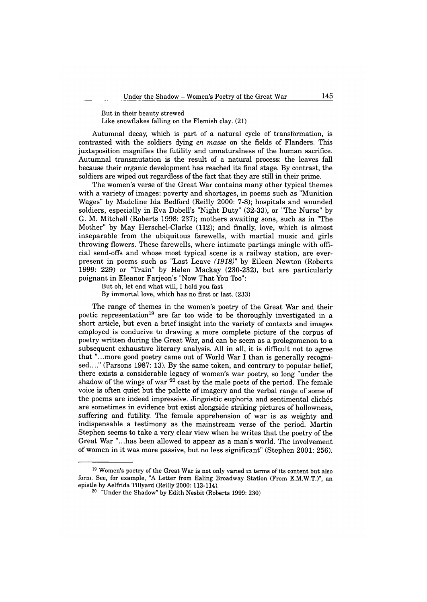**But in their beauty strewed Like snowflakes falling on the Flemish clay. (21)**

Autumnal decay, which is part of a natural cycle of transformation, is contrasted with the soldiers dying *en masse* on the fields of Flanders. This juxtaposition magnifies the futility and unnaturalness of the human sacrifice. Autumnal transmutation is the result of a natural process: the leaves fall because their organic development has reached its final stage. By contrast, the soldiers are wiped out regardless of the fact that they are still in their prime.

The women's verse of the Great War contains many other typical themes with a variety of images: poverty and shortages, in poems such as "Munition Wages" by Madeline Ida Bedford (Reilly 2000: 7-8); hospitals and wounded soldiers, especially in Eva Dobell's "Night Duty" (32-33), or "The Nurse" by G. M. Mitchell (Roberts 1998: 237); mothers awaiting sons, such as in "The Mother" by May Herschel-Clarke (112); and finally, love, which is almost inseparable from the ubiquitous farewells, with martial music and girls throwing flowers. These farewells, where intimate partings mingle with official send-offs and whose most typical scene is a railway station, are everpresent in poems such as "Last Leave *(1918)"* by Eileen Newton (Roberts 1999: 229) or "Train" by Helen Mackay (230-232), but are particularly poignant in Eleanor Farjeon's "Now That You Too":

**But oh, let end what will, I hold you fast**

**By immortal love, which has no first or last. (233)**

The range of themes in the women's poetry of the Great War and their poetic representation<sup>19</sup> are far too wide to be thoroughly investigated in a short article, but even a brief insight into the variety of contexts and images employed is conducive to drawing a more complete picture of the corpus of poetry written during the Great War, and can be seem as a prolegomenon to a subsequent exhaustive literary analysis. All in all, it is difficult not to agree that "...more good poetry came out of World War I than is generally recognised...." (Parsons 1987: 13). By the same token, and contrary to popular belief, there exists a considerable legacy of women's war poetry, so long "under the shadow of the wings of war"20 cast by the male poets of the period. The female voice is often quiet but the palette of imagery and the verbal range of some of the poems are indeed impressive. Jingoistic euphoria and sentimental clichés are sometimes in evidence but exist alongside striking pictures of hollowness, suffering and futility. The female apprehension of war is as weighty and indispensable a testimony as the mainstream verse of the period. Martin Stephen seems to take a very clear view when he writes that the poetry of the Great War "...has been allowed to appear as a man's world. The involvement of women in it was more passive, but no less significant" (Stephen 2001: 256).

**<sup>19</sup> Women's poetry of the Great War is not only varied in terms of its content but also form. See, for example, "A Letter from Ealing Broadway Station (From E.M.W.T.)", an epistle by Aelfrida Tillyard (Reilly 2000: 113-114).**

**<sup>20 &</sup>quot;Under the Shadow" by Edith Nesbit (Roberts 1999: 230)**